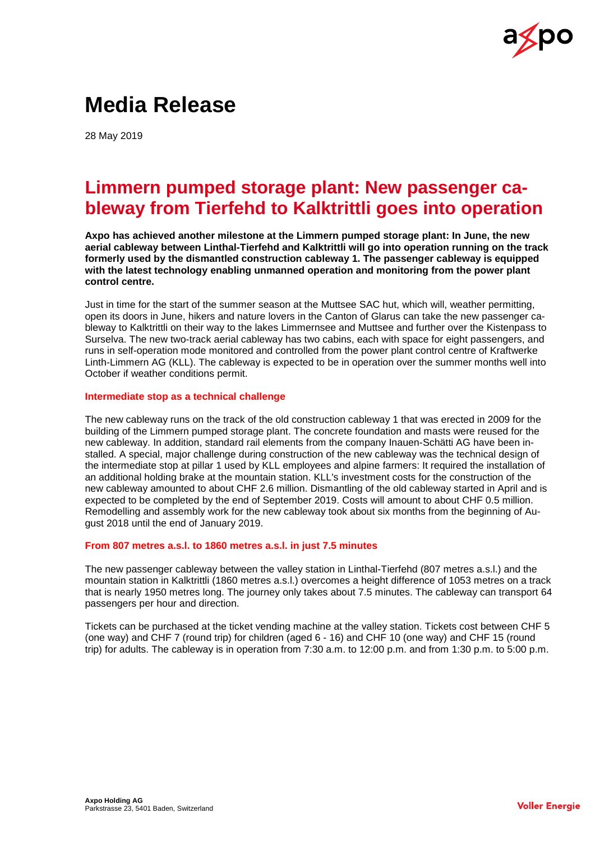

# **Media Release**

28 May 2019

# **Limmern pumped storage plant: New passenger cableway from Tierfehd to Kalktrittli goes into operation**

**Axpo has achieved another milestone at the Limmern pumped storage plant: In June, the new aerial cableway between Linthal-Tierfehd and Kalktrittli will go into operation running on the track formerly used by the dismantled construction cableway 1. The passenger cableway is equipped with the latest technology enabling unmanned operation and monitoring from the power plant control centre.**

Just in time for the start of the summer season at the Muttsee SAC hut, which will, weather permitting, open its doors in June, hikers and nature lovers in the Canton of Glarus can take the new passenger cableway to Kalktrittli on their way to the lakes Limmernsee and Muttsee and further over the Kistenpass to Surselva. The new two-track aerial cableway has two cabins, each with space for eight passengers, and runs in self-operation mode monitored and controlled from the power plant control centre of Kraftwerke Linth-Limmern AG (KLL). The cableway is expected to be in operation over the summer months well into October if weather conditions permit.

### **Intermediate stop as a technical challenge**

The new cableway runs on the track of the old construction cableway 1 that was erected in 2009 for the building of the Limmern pumped storage plant. The concrete foundation and masts were reused for the new cableway. In addition, standard rail elements from the company Inauen-Schätti AG have been installed. A special, major challenge during construction of the new cableway was the technical design of the intermediate stop at pillar 1 used by KLL employees and alpine farmers: It required the installation of an additional holding brake at the mountain station. KLL's investment costs for the construction of the new cableway amounted to about CHF 2.6 million. Dismantling of the old cableway started in April and is expected to be completed by the end of September 2019. Costs will amount to about CHF 0.5 million. Remodelling and assembly work for the new cableway took about six months from the beginning of August 2018 until the end of January 2019.

## **From 807 metres a.s.l. to 1860 metres a.s.l. in just 7.5 minutes**

The new passenger cableway between the valley station in Linthal-Tierfehd (807 metres a.s.l.) and the mountain station in Kalktrittli (1860 metres a.s.l.) overcomes a height difference of 1053 metres on a track that is nearly 1950 metres long. The journey only takes about 7.5 minutes. The cableway can transport 64 passengers per hour and direction.

Tickets can be purchased at the ticket vending machine at the valley station. Tickets cost between CHF 5 (one way) and CHF 7 (round trip) for children (aged 6 - 16) and CHF 10 (one way) and CHF 15 (round trip) for adults. The cableway is in operation from 7:30 a.m. to 12:00 p.m. and from 1:30 p.m. to 5:00 p.m.